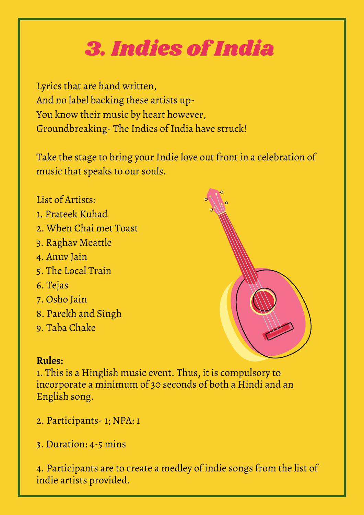## 3. Indies of India

Lyrics that are hand written, And no label backing these artists up-You know their music by heart however, Groundbreaking- The Indies of India have struck!

Take the stage to bring your Indie love out front in a celebration of music that speaks to our souls.

## List of Artists:

- 1. Prateek Kuhad
- 2. When Chai met Toast
- 3. Raghav Meattle
- 4. Anuv Jain
- 5. The Local Train
- 6. Tejas
- 7. Osho Jain
- 8. Parekh and Singh
- 9. Taba Chake

## **Rules:**

1. This is a Hinglish music event. Thus, it is compulsory to incorporate a minimum of 30 seconds of both a Hindi and an English song.

- 2. Participants- 1; NPA: 1
- 3. Duration: 4-5 mins

4. Participants are to create a medley of indie songs from the list of indie artists provided.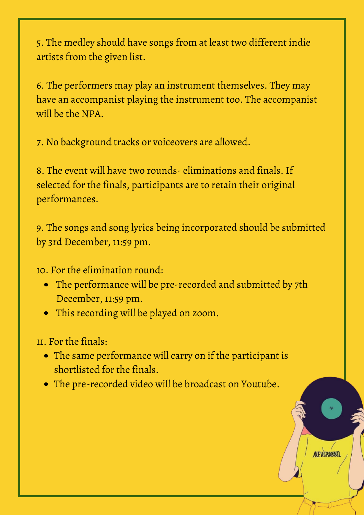5. The medley should have songs from at least two different indie artists from the given list.

6. The performers may play an instrument themselves. They may have an accompanist playing the instrument too. The accompanist will be the NPA.

7. No background tracks or voiceovers are allowed.

8. The event will have two rounds- eliminations and finals. If selected for the finals, participants are to retain their original performances.

9. The songs and song lyrics being incorporated should be submitted by 3rd December, 11:59 pm.

10. For the elimination round:

- The performance will be pre-recorded and submitted by 7th December, 11:59 pm.
- This recording will be played on zoom.

11. For the finals:

• The same performance will carry on if the participant is shortlisted for the finals.

NEVERAGO

The pre-recorded video will be broadcast on Youtube.